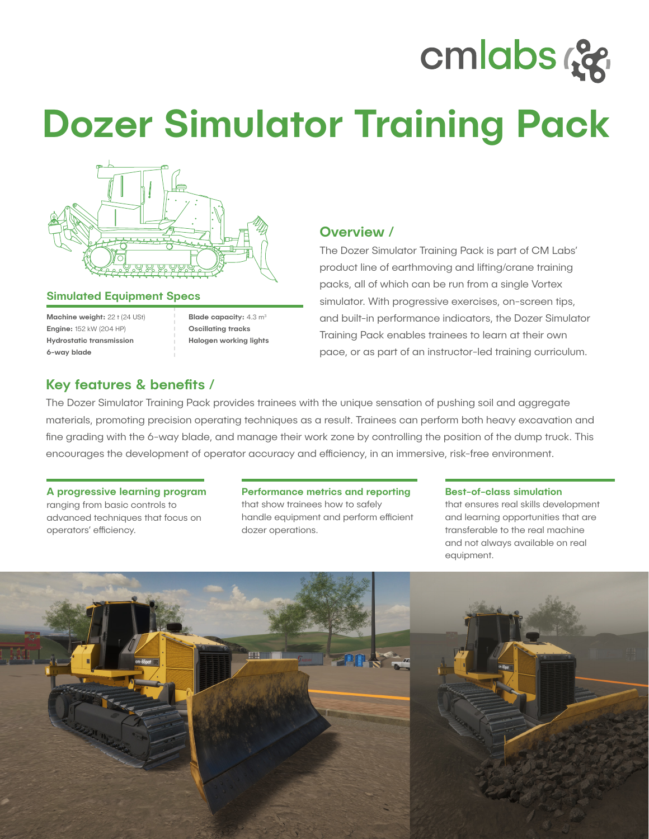# cmlabs ce

# Dozer Simulator Training Pack



### Simulated Equipment Specs

Machine weight: 22 t (24 USt) Engine: 152 kW (204 HP) Hydrostatic transmission 6-way blade

Blade capacity: 4.3 m<sup>3</sup> Oscillating tracks Halogen working lights

# Overview /

The Dozer Simulator Training Pack is part of CM Labs' product line of earthmoving and lifting/crane training packs, all of which can be run from a single Vortex simulator. With progressive exercises, on-screen tips, and built-in performance indicators, the Dozer Simulator Training Pack enables trainees to learn at their own pace, or as part of an instructor-led training curriculum.

## Key features & benefits /

The Dozer Simulator Training Pack provides trainees with the unique sensation of pushing soil and aggregate materials, promoting precision operating techniques as a result. Trainees can perform both heavy excavation and fine grading with the 6-way blade, and manage their work zone by controlling the position of the dump truck. This encourages the development of operator accuracy and efficiency, in an immersive, risk-free environment.

### A progressive learning program ranging from basic controls to

advanced techniques that focus on operators' efficiency.

#### Performance metrics and reporting that show trainees how to safely handle equipment and perform efficient dozer operations.

#### Best-of-class simulation

that ensures real skills development and learning opportunities that are transferable to the real machine and not always available on real equipment.